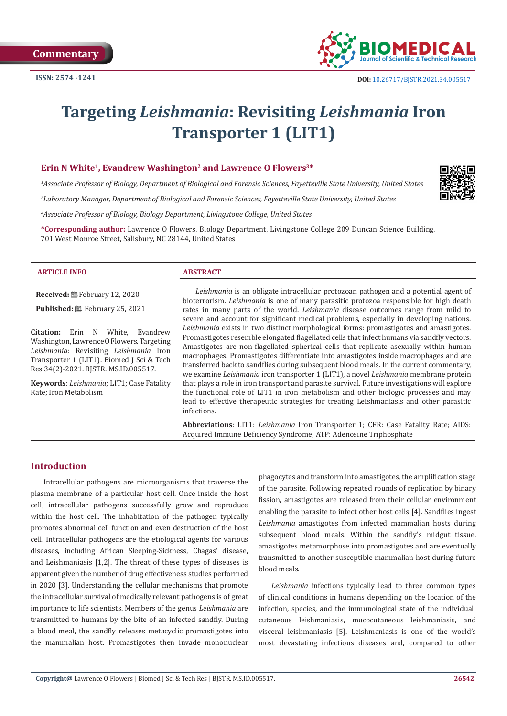

# **Targeting** *Leishmania***: Revisiting** *Leishmania* **Iron Transporter 1 (LIT1)**

# Erin N White<sup>1</sup>, Evandrew Washington<sup>2</sup> and Lawrence O Flowers<sup>3\*</sup>

*1 Associate Professor of Biology, Department of Biological and Forensic Sciences, Fayetteville State University, United States 2 Laboratory Manager, Department of Biological and Forensic Sciences, Fayetteville State University, United States*

*3 Associate Professor of Biology, Biology Department, Livingstone College, United States*

**\*Corresponding author:** Lawrence O Flowers, Biology Department, Livingstone College 209 Duncan Science Building, 701 West Monroe Street, Salisbury, NC 28144, United States

#### **ARTICLE INFO ABSTRACT**

**Received:** February 12, 2020

**Published:** February 25, 2021

**Citation:** Erin N White, Evandrew Washington, Lawrence O Flowers. Targeting *Leishmania*: Revisiting *Leishmania* Iron Transporter 1 (LIT1). Biomed J Sci & Tech Res 34(2)-2021. BJSTR. MS.ID.005517.

**Keywords**: *Leishmania*; LIT1; Case Fatality Rate; Iron Metabolism

*Leishmania* is an obligate intracellular protozoan pathogen and a potential agent of bioterrorism. *Leishmania* is one of many parasitic protozoa responsible for high death rates in many parts of the world. *Leishmania* disease outcomes range from mild to severe and account for significant medical problems, especially in developing nations. *Leishmania* exists in two distinct morphological forms: promastigotes and amastigotes. Promastigotes resemble elongated flagellated cells that infect humans via sandfly vectors. Amastigotes are non-flagellated spherical cells that replicate asexually within human macrophages. Promastigotes differentiate into amastigotes inside macrophages and are transferred back to sandflies during subsequent blood meals. In the current commentary, we examine *Leishmania* iron transporter 1 (LIT1), a novel *Leishmania* membrane protein that plays a role in iron transport and parasite survival. Future investigations will explore the functional role of LIT1 in iron metabolism and other biologic processes and may lead to effective therapeutic strategies for treating Leishmaniasis and other parasitic infections.

**Abbreviations**: LIT1: *Leishmania* Iron Transporter 1; CFR: Case Fatality Rate; AIDS: Acquired Immune Deficiency Syndrome; ATP: Adenosine Triphosphate

# **Introduction**

Intracellular pathogens are microorganisms that traverse the plasma membrane of a particular host cell. Once inside the host cell, intracellular pathogens successfully grow and reproduce within the host cell. The inhabitation of the pathogen typically promotes abnormal cell function and even destruction of the host cell. Intracellular pathogens are the etiological agents for various diseases, including African Sleeping-Sickness, Chagas' disease, and Leishmaniasis [1,2]. The threat of these types of diseases is apparent given the number of drug effectiveness studies performed in 2020 [3]. Understanding the cellular mechanisms that promote the intracellular survival of medically relevant pathogens is of great importance to life scientists. Members of the genus *Leishmania* are transmitted to humans by the bite of an infected sandfly. During a blood meal, the sandfly releases metacyclic promastigotes into the mammalian host. Promastigotes then invade mononuclear phagocytes and transform into amastigotes, the amplification stage of the parasite. Following repeated rounds of replication by binary fission, amastigotes are released from their cellular environment enabling the parasite to infect other host cells [4]. Sandflies ingest *Leishmania* amastigotes from infected mammalian hosts during subsequent blood meals. Within the sandfly's midgut tissue, amastigotes metamorphose into promastigotes and are eventually transmitted to another susceptible mammalian host during future blood meals.

*Leishmania* infections typically lead to three common types of clinical conditions in humans depending on the location of the infection, species, and the immunological state of the individual: cutaneous leishmaniasis, mucocutaneous leishmaniasis, and visceral leishmaniasis [5]. Leishmaniasis is one of the world's most devastating infectious diseases and, compared to other

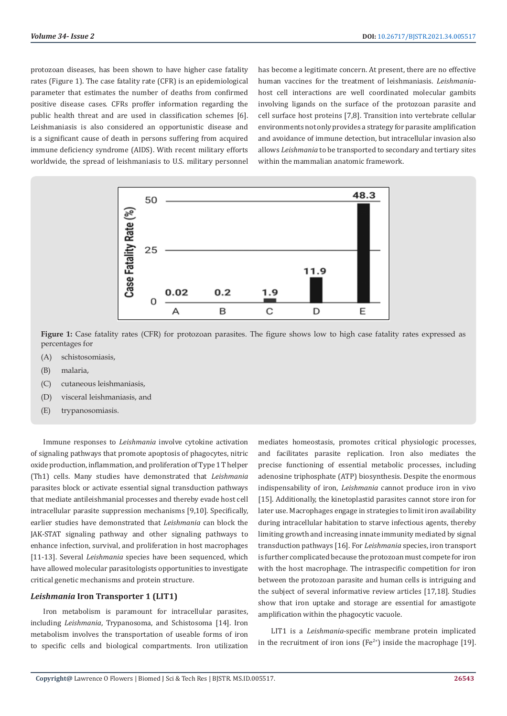protozoan diseases, has been shown to have higher case fatality rates (Figure 1). The case fatality rate (CFR) is an epidemiological parameter that estimates the number of deaths from confirmed positive disease cases. CFRs proffer information regarding the public health threat and are used in classification schemes [6]. Leishmaniasis is also considered an opportunistic disease and is a significant cause of death in persons suffering from acquired immune deficiency syndrome (AIDS). With recent military efforts worldwide, the spread of leishmaniasis to U.S. military personnel has become a legitimate concern. At present, there are no effective human vaccines for the treatment of leishmaniasis. *Leishmania*host cell interactions are well coordinated molecular gambits involving ligands on the surface of the protozoan parasite and cell surface host proteins [7,8]. Transition into vertebrate cellular environments not only provides a strategy for parasite amplification and avoidance of immune detection, but intracellular invasion also allows *Leishmania* to be transported to secondary and tertiary sites within the mammalian anatomic framework.



**Figure 1:** Case fatality rates (CFR) for protozoan parasites. The figure shows low to high case fatality rates expressed as percentages for

- (A) schistosomiasis,
- (B) malaria,
- (C) cutaneous leishmaniasis,
- (D) visceral leishmaniasis, and
- (E) trypanosomiasis.

Immune responses to *Leishmania* involve cytokine activation of signaling pathways that promote apoptosis of phagocytes, nitric oxide production, inflammation, and proliferation of Type 1 T helper (Th1) cells. Many studies have demonstrated that *Leishmania* parasites block or activate essential signal transduction pathways that mediate antileishmanial processes and thereby evade host cell intracellular parasite suppression mechanisms [9,10]. Specifically, earlier studies have demonstrated that *Leishmania* can block the JAK-STAT signaling pathway and other signaling pathways to enhance infection, survival, and proliferation in host macrophages [11-13]. Several *Leishmania* species have been sequenced, which have allowed molecular parasitologists opportunities to investigate critical genetic mechanisms and protein structure.

# *Leishmania* **Iron Transporter 1 (LIT1)**

Iron metabolism is paramount for intracellular parasites, including *Leishmania*, Trypanosoma, and Schistosoma [14]. Iron metabolism involves the transportation of useable forms of iron to specific cells and biological compartments. Iron utilization

mediates homeostasis, promotes critical physiologic processes, and facilitates parasite replication. Iron also mediates the precise functioning of essential metabolic processes, including adenosine triphosphate (ATP) biosynthesis. Despite the enormous indispensability of iron, *Leishmania* cannot produce iron in vivo [15]. Additionally, the kinetoplastid parasites cannot store iron for later use. Macrophages engage in strategies to limit iron availability during intracellular habitation to starve infectious agents, thereby limiting growth and increasing innate immunity mediated by signal transduction pathways [16]. For *Leishmania* species, iron transport is further complicated because the protozoan must compete for iron with the host macrophage. The intraspecific competition for iron between the protozoan parasite and human cells is intriguing and the subject of several informative review articles [17,18]. Studies show that iron uptake and storage are essential for amastigote amplification within the phagocytic vacuole.

LIT1 is a *Leishmania*-specific membrane protein implicated in the recruitment of iron ions ( $Fe<sup>2+</sup>$ ) inside the macrophage [19].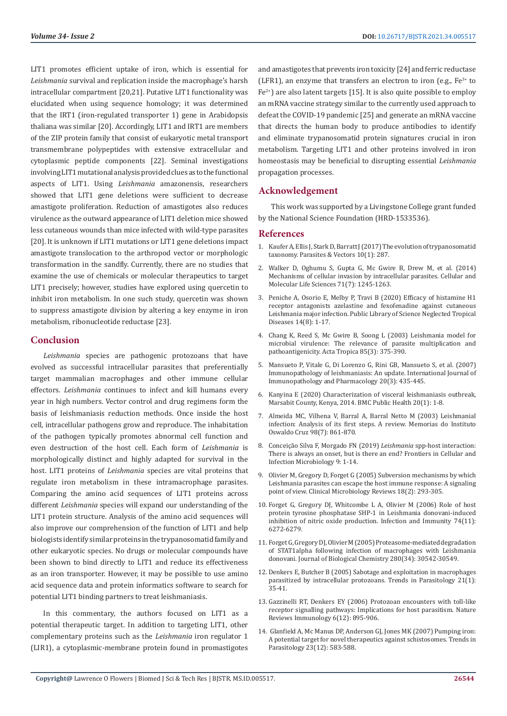LIT1 promotes efficient uptake of iron, which is essential for *Leishmania* survival and replication inside the macrophage's harsh intracellular compartment [20,21]. Putative LIT1 functionality was elucidated when using sequence homology; it was determined that the IRT1 (iron-regulated transporter 1) gene in Arabidopsis thaliana was similar [20]. Accordingly, LIT1 and IRT1 are members of the ZIP protein family that consist of eukaryotic metal transport transmembrane polypeptides with extensive extracellular and cytoplasmic peptide components [22]. Seminal investigations involving LIT1 mutational analysis provided clues as to the functional aspects of LIT1. Using *Leishmania* amazonensis, researchers showed that LIT1 gene deletions were sufficient to decrease amastigote proliferation. Reduction of amastigotes also reduces virulence as the outward appearance of LIT1 deletion mice showed less cutaneous wounds than mice infected with wild-type parasites [20]. It is unknown if LIT1 mutations or LIT1 gene deletions impact amastigote translocation to the arthropod vector or morphologic transformation in the sandfly. Currently, there are no studies that examine the use of chemicals or molecular therapeutics to target LIT1 precisely; however, studies have explored using quercetin to inhibit iron metabolism. In one such study, quercetin was shown to suppress amastigote division by altering a key enzyme in iron metabolism, ribonucleotide reductase [23].

# **Conclusion**

*Leishmania* species are pathogenic protozoans that have evolved as successful intracellular parasites that preferentially target mammalian macrophages and other immune cellular effectors. *Leishmania* continues to infect and kill humans every year in high numbers. Vector control and drug regimens form the basis of leishmaniasis reduction methods. Once inside the host cell, intracellular pathogens grow and reproduce. The inhabitation of the pathogen typically promotes abnormal cell function and even destruction of the host cell. Each form of *Leishmania* is morphologically distinct and highly adapted for survival in the host. LIT1 proteins of *Leishmania* species are vital proteins that regulate iron metabolism in these intramacrophage parasites. Comparing the amino acid sequences of LIT1 proteins across different *Leishmania* species will expand our understanding of the LIT1 protein structure. Analysis of the amino acid sequences will also improve our comprehension of the function of LIT1 and help biologists identify similar proteins in the trypanosomatid family and other eukaryotic species. No drugs or molecular compounds have been shown to bind directly to LIT1 and reduce its effectiveness as an iron transporter. However, it may be possible to use amino acid sequence data and protein informatics software to search for potential LIT1 binding partners to treat leishmaniasis.

In this commentary, the authors focused on LIT1 as a potential therapeutic target. In addition to targeting LIT1, other complementary proteins such as the *Leishmania* iron regulator 1 (LIR1), a cytoplasmic-membrane protein found in promastigotes and amastigotes that prevents iron toxicity [24] and ferric reductase (LFR1), an enzyme that transfers an electron to iron (e.g.,  $Fe^{3+}$  to  $Fe<sup>2+</sup>$ ) are also latent targets [15]. It is also quite possible to employ an mRNA vaccine strategy similar to the currently used approach to defeat the COVID-19 pandemic [25] and generate an mRNA vaccine that directs the human body to produce antibodies to identify and eliminate trypanosomatid protein signatures crucial in iron metabolism. Targeting LIT1 and other proteins involved in iron homeostasis may be beneficial to disrupting essential *Leishmania* propagation processes.

# **Acknowledgement**

This work was supported by a Livingstone College grant funded by the National Science Foundation (HRD-1533536).

### **References**

- 1. [Kaufer A, Ellis J, Stark D, Barratt J \(2017\) The evolution of trypanosomatid](https://pubmed.ncbi.nlm.nih.gov/28595622/) [taxonomy. Parasites & Vectors 10\(1\): 287.](https://pubmed.ncbi.nlm.nih.gov/28595622/)
- 2. [Walker D, Oghumu S, Gupta G, Mc Gwire B, Drew M, et al. \(2014\)](https://pubmed.ncbi.nlm.nih.gov/24221133/) [Mechanisms of cellular invasion by intracellular parasites. Cellular and](https://pubmed.ncbi.nlm.nih.gov/24221133/) [Molecular Life Sciences 71\(7\): 1245-1263.](https://pubmed.ncbi.nlm.nih.gov/24221133/)
- 3. Peniche A, Osorio E, Melby P, Travi B (2020) Efficacy of histamine H1 receptor antagonists azelastine and fexofenadine against cutaneous Leishmania major infection. Public Library of Science Neglected Tropical Diseases 14(8): 1-17.
- 4. [Chang K, Reed S, Mc Gwire B, Soong L \(2003\) Leishmania model for](https://pubmed.ncbi.nlm.nih.gov/12659975/) [microbial virulence: The relevance of parasite multiplication and](https://pubmed.ncbi.nlm.nih.gov/12659975/) [pathoantigenicity. Acta Tropica 85\(3\): 375-390.](https://pubmed.ncbi.nlm.nih.gov/12659975/)
- 5. Mansueto P, Vitale G, Di Lorenzo G, Rini GB, Mansueto S, et al. (2007) Immunopathology of leishmaniasis: An update. International Journal of Immunopathology and Pharmacology 20(3): 435-445.
- 6. Kanyina E (2020) Characterization of visceral leishmaniasis outbreak, Marsabit County, Kenya, 2014. BMC Public Health 20(1): 1-8.
- 7. [Almeida MC, Vilhena V, Barral A, Barral Netto M \(2003\) Leishmanial](https://pubmed.ncbi.nlm.nih.gov/14762510/) [infection: Analysis of its first steps. A review. Memorias do Instituto](https://pubmed.ncbi.nlm.nih.gov/14762510/) [Oswaldo Cruz 98\(7\): 861-870.](https://pubmed.ncbi.nlm.nih.gov/14762510/)
- 8. [Conceição Silva F, Morgado FN \(2019\)](https://www.ncbi.nlm.nih.gov/pmc/articles/PMC6761226/) *Leishmania* spp-host interaction: [There is always an onset, but is there an end? Frontiers in Cellular and](https://www.ncbi.nlm.nih.gov/pmc/articles/PMC6761226/) [Infection Microbiology 9: 1-14.](https://www.ncbi.nlm.nih.gov/pmc/articles/PMC6761226/)
- 9. Olivier M, Gregory D, Forget G (2005) Subversion mechanisms by which Leishmania parasites can escape the host immune response: A signaling point of view. Clinical Microbiology Reviews 18(2): 293-305.
- 10. Forget G, Gregory DJ, Whitcombe L A, Olivier M (2006) Role of host protein tyrosine phosphatase SHP-1 in Leishmania donovani-induced inhibition of nitric oxide production. Infection and Immunity 74(11): 6272-6279.
- 11. Forget G, Gregory DJ, Olivier M (2005) Proteasome-mediated degradation of STAT1alpha following infection of macrophages with Leishmania donovani. Journal of Biological Chemistry 280(34): 30542-30549.
- 12. [Denkers E, Butcher B \(2005\) Sabotage and exploitation in macrophages](https://pubmed.ncbi.nlm.nih.gov/15639739/) [parasitized by intracellular protozoans. Trends in Parasitology 21\(1\):](https://pubmed.ncbi.nlm.nih.gov/15639739/) [35-41.](https://pubmed.ncbi.nlm.nih.gov/15639739/)
- 13. [Gazzinelli RT, Denkers EY \(2006\) Protozoan encounters with toll-like](https://www.nature.com/articles/nri1978) [receptor signalling pathways: Implications for host parasitism. Nature](https://www.nature.com/articles/nri1978) [Reviews Immunology 6\(12\): 895-906.](https://www.nature.com/articles/nri1978)
- 14. [Glanfield A, Mc Manus DP, Anderson GJ, Jones MK \(2007\) Pumping iron:](https://pubmed.ncbi.nlm.nih.gov/17962074/) [A potential target for novel therapeutics against schistosomes. Trends in](https://pubmed.ncbi.nlm.nih.gov/17962074/) [Parasitology 23\(12\): 583-588.](https://pubmed.ncbi.nlm.nih.gov/17962074/)